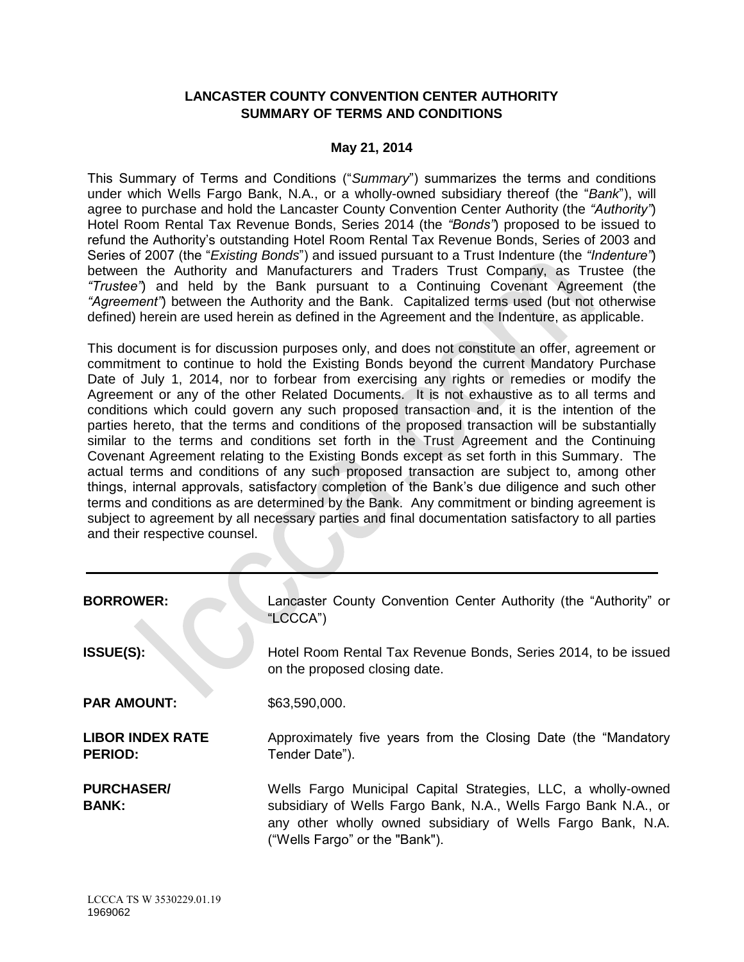# **LANCASTER COUNTY CONVENTION CENTER AUTHORITY SUMMARY OF TERMS AND CONDITIONS**

## **May 21, 2014**

This Summary of Terms and Conditions ("*Summary*") summarizes the terms and conditions under which Wells Fargo Bank, N.A., or a wholly-owned subsidiary thereof (the "*Bank*"), will agree to purchase and hold the Lancaster County Convention Center Authority (the *"Authority"*) Hotel Room Rental Tax Revenue Bonds, Series 2014 (the *"Bonds"*) proposed to be issued to refund the Authority's outstanding Hotel Room Rental Tax Revenue Bonds, Series of 2003 and Series of 2007 (the "*Existing Bonds*") and issued pursuant to a Trust Indenture (the *"Indenture"*) between the Authority and Manufacturers and Traders Trust Company, as Trustee (the *"Trustee"*) and held by the Bank pursuant to a Continuing Covenant Agreement (the *"Agreement"*) between the Authority and the Bank. Capitalized terms used (but not otherwise defined) herein are used herein as defined in the Agreement and the Indenture, as applicable.

This document is for discussion purposes only, and does not constitute an offer, agreement or commitment to continue to hold the Existing Bonds beyond the current Mandatory Purchase Date of July 1, 2014, nor to forbear from exercising any rights or remedies or modify the Agreement or any of the other Related Documents. It is not exhaustive as to all terms and conditions which could govern any such proposed transaction and, it is the intention of the parties hereto, that the terms and conditions of the proposed transaction will be substantially similar to the terms and conditions set forth in the Trust Agreement and the Continuing Covenant Agreement relating to the Existing Bonds except as set forth in this Summary. The actual terms and conditions of any such proposed transaction are subject to, among other things, internal approvals, satisfactory completion of the Bank's due diligence and such other terms and conditions as are determined by the Bank. Any commitment or binding agreement is subject to agreement by all necessary parties and final documentation satisfactory to all parties and their respective counsel.

| <b>BORROWER:</b>                          | Lancaster County Convention Center Authority (the "Authority" or<br>"LCCCA")                                                                                                                                                      |
|-------------------------------------------|-----------------------------------------------------------------------------------------------------------------------------------------------------------------------------------------------------------------------------------|
| <b>ISSUE(S):</b>                          | Hotel Room Rental Tax Revenue Bonds, Series 2014, to be issued<br>on the proposed closing date.                                                                                                                                   |
| <b>PAR AMOUNT:</b>                        | \$63,590,000.                                                                                                                                                                                                                     |
| <b>LIBOR INDEX RATE</b><br><b>PERIOD:</b> | Approximately five years from the Closing Date (the "Mandatory"<br>Tender Date").                                                                                                                                                 |
| <b>PURCHASER/</b><br><b>BANK:</b>         | Wells Fargo Municipal Capital Strategies, LLC, a wholly-owned<br>subsidiary of Wells Fargo Bank, N.A., Wells Fargo Bank N.A., or<br>any other wholly owned subsidiary of Wells Fargo Bank, N.A.<br>("Wells Fargo" or the "Bank"). |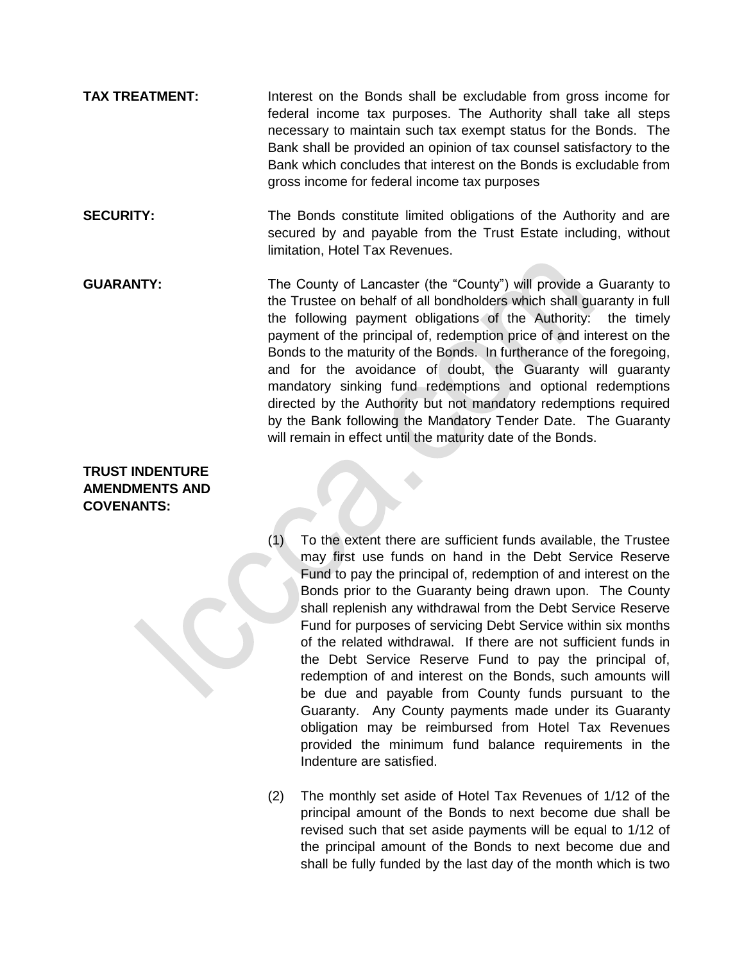- **TAX TREATMENT:** Interest on the Bonds shall be excludable from gross income for federal income tax purposes. The Authority shall take all steps necessary to maintain such tax exempt status for the Bonds. The Bank shall be provided an opinion of tax counsel satisfactory to the Bank which concludes that interest on the Bonds is excludable from gross income for federal income tax purposes
- **SECURITY:** The Bonds constitute limited obligations of the Authority and are secured by and payable from the Trust Estate including, without limitation, Hotel Tax Revenues.
- **GUARANTY:** The County of Lancaster (the "County") will provide a Guaranty to the Trustee on behalf of all bondholders which shall guaranty in full the following payment obligations of the Authority: the timely payment of the principal of, redemption price of and interest on the Bonds to the maturity of the Bonds. In furtherance of the foregoing, and for the avoidance of doubt, the Guaranty will guaranty mandatory sinking fund redemptions and optional redemptions directed by the Authority but not mandatory redemptions required by the Bank following the Mandatory Tender Date. The Guaranty will remain in effect until the maturity date of the Bonds.

# **TRUST INDENTURE AMENDMENTS AND COVENANTS:**

- (1) To the extent there are sufficient funds available, the Trustee may first use funds on hand in the Debt Service Reserve Fund to pay the principal of, redemption of and interest on the Bonds prior to the Guaranty being drawn upon. The County shall replenish any withdrawal from the Debt Service Reserve Fund for purposes of servicing Debt Service within six months of the related withdrawal. If there are not sufficient funds in the Debt Service Reserve Fund to pay the principal of, redemption of and interest on the Bonds, such amounts will be due and payable from County funds pursuant to the Guaranty. Any County payments made under its Guaranty obligation may be reimbursed from Hotel Tax Revenues provided the minimum fund balance requirements in the Indenture are satisfied.
- (2) The monthly set aside of Hotel Tax Revenues of 1/12 of the principal amount of the Bonds to next become due shall be revised such that set aside payments will be equal to 1/12 of the principal amount of the Bonds to next become due and shall be fully funded by the last day of the month which is two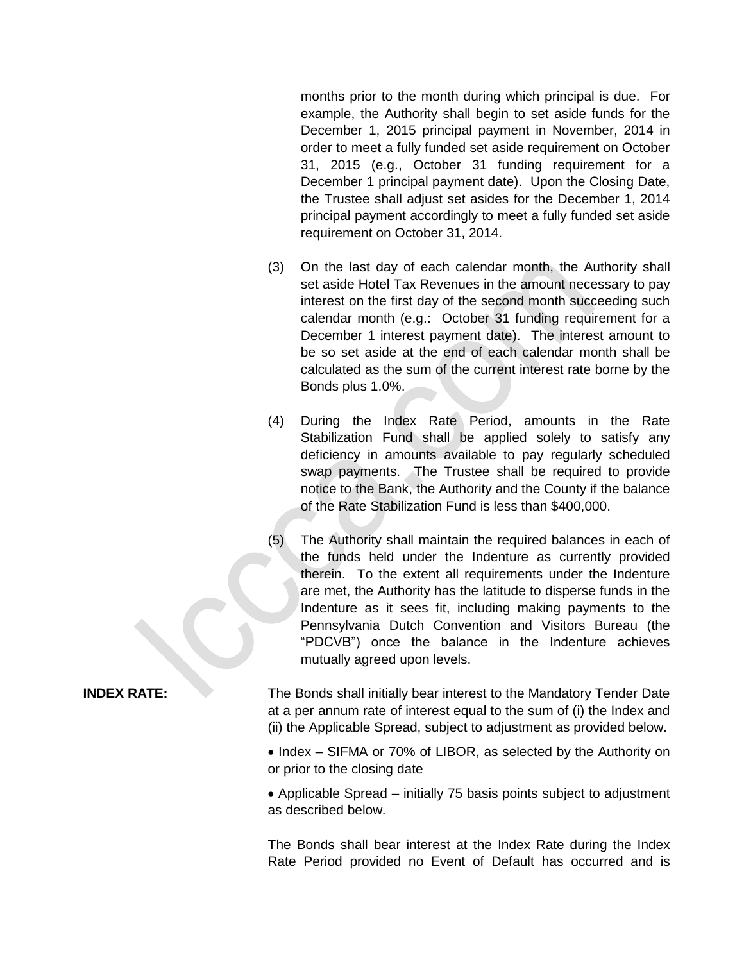months prior to the month during which principal is due. For example, the Authority shall begin to set aside funds for the December 1, 2015 principal payment in November, 2014 in order to meet a fully funded set aside requirement on October 31, 2015 (e.g., October 31 funding requirement for a December 1 principal payment date). Upon the Closing Date, the Trustee shall adjust set asides for the December 1, 2014 principal payment accordingly to meet a fully funded set aside requirement on October 31, 2014.

- (3) On the last day of each calendar month, the Authority shall set aside Hotel Tax Revenues in the amount necessary to pay interest on the first day of the second month succeeding such calendar month (e.g.: October 31 funding requirement for a December 1 interest payment date). The interest amount to be so set aside at the end of each calendar month shall be calculated as the sum of the current interest rate borne by the Bonds plus 1.0%.
- (4) During the Index Rate Period, amounts in the Rate Stabilization Fund shall be applied solely to satisfy any deficiency in amounts available to pay regularly scheduled swap payments. The Trustee shall be required to provide notice to the Bank, the Authority and the County if the balance of the Rate Stabilization Fund is less than \$400,000.
- (5) The Authority shall maintain the required balances in each of the funds held under the Indenture as currently provided therein. To the extent all requirements under the Indenture are met, the Authority has the latitude to disperse funds in the Indenture as it sees fit, including making payments to the Pennsylvania Dutch Convention and Visitors Bureau (the "PDCVB") once the balance in the Indenture achieves mutually agreed upon levels.

**INDEX RATE:** The Bonds shall initially bear interest to the Mandatory Tender Date at a per annum rate of interest equal to the sum of (i) the Index and (ii) the Applicable Spread, subject to adjustment as provided below.

> • Index – SIFMA or 70% of LIBOR, as selected by the Authority on or prior to the closing date

> • Applicable Spread – initially 75 basis points subject to adjustment as described below.

> The Bonds shall bear interest at the Index Rate during the Index Rate Period provided no Event of Default has occurred and is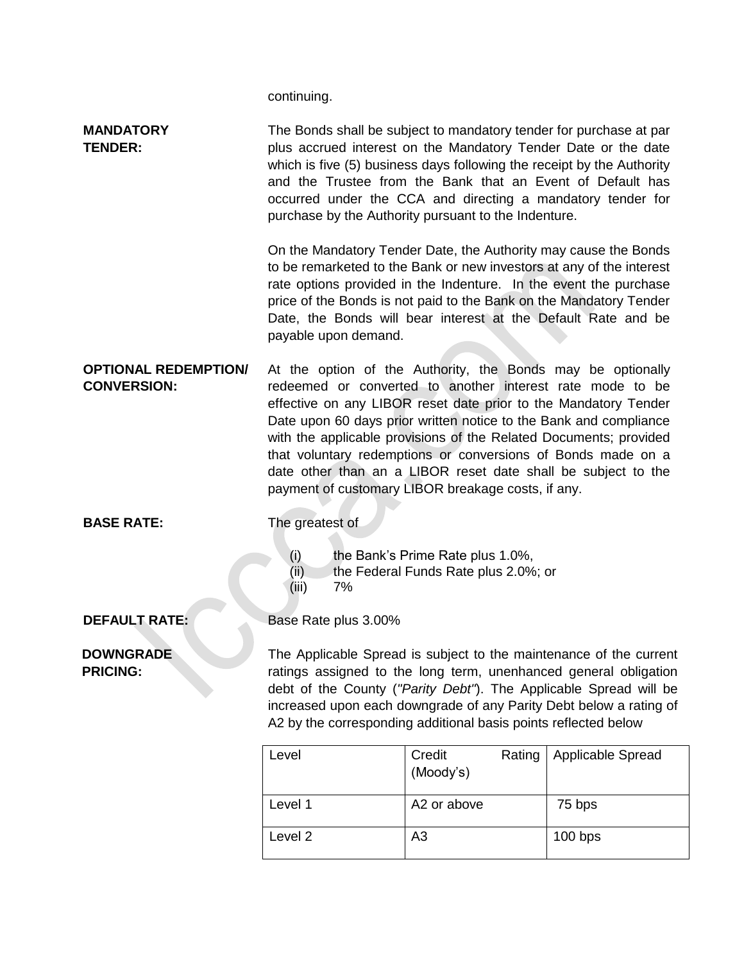continuing.

| <b>MANDATORY</b><br><b>TENDER:</b>                | The Bonds shall be subject to mandatory tender for purchase at par<br>plus accrued interest on the Mandatory Tender Date or the date<br>which is five (5) business days following the receipt by the Authority<br>and the Trustee from the Bank that an Event of Default has<br>occurred under the CCA and directing a mandatory tender for<br>purchase by the Authority pursuant to the Indenture. |                                                                                                                                                                                                                                                                                                                                                                                                                                                                                                                              |                   |  |
|---------------------------------------------------|-----------------------------------------------------------------------------------------------------------------------------------------------------------------------------------------------------------------------------------------------------------------------------------------------------------------------------------------------------------------------------------------------------|------------------------------------------------------------------------------------------------------------------------------------------------------------------------------------------------------------------------------------------------------------------------------------------------------------------------------------------------------------------------------------------------------------------------------------------------------------------------------------------------------------------------------|-------------------|--|
|                                                   | payable upon demand.                                                                                                                                                                                                                                                                                                                                                                                | On the Mandatory Tender Date, the Authority may cause the Bonds<br>to be remarketed to the Bank or new investors at any of the interest<br>rate options provided in the Indenture. In the event the purchase<br>price of the Bonds is not paid to the Bank on the Mandatory Tender<br>Date, the Bonds will bear interest at the Default Rate and be                                                                                                                                                                          |                   |  |
| <b>OPTIONAL REDEMPTION/</b><br><b>CONVERSION:</b> |                                                                                                                                                                                                                                                                                                                                                                                                     | At the option of the Authority, the Bonds may be optionally<br>redeemed or converted to another interest rate mode to be<br>effective on any LIBOR reset date prior to the Mandatory Tender<br>Date upon 60 days prior written notice to the Bank and compliance<br>with the applicable provisions of the Related Documents; provided<br>that voluntary redemptions or conversions of Bonds made on a<br>date other than an a LIBOR reset date shall be subject to the<br>payment of customary LIBOR breakage costs, if any. |                   |  |
| <b>BASE RATE:</b>                                 | The greatest of                                                                                                                                                                                                                                                                                                                                                                                     |                                                                                                                                                                                                                                                                                                                                                                                                                                                                                                                              |                   |  |
|                                                   | (i)<br>(ii)<br>(iii)<br>7%                                                                                                                                                                                                                                                                                                                                                                          | the Bank's Prime Rate plus 1.0%,<br>the Federal Funds Rate plus 2.0%; or                                                                                                                                                                                                                                                                                                                                                                                                                                                     |                   |  |
| <b>DEFAULT RATE:</b>                              | Base Rate plus 3.00%                                                                                                                                                                                                                                                                                                                                                                                |                                                                                                                                                                                                                                                                                                                                                                                                                                                                                                                              |                   |  |
| <b>DOWNGRADE</b><br><b>PRICING:</b>               | The Applicable Spread is subject to the maintenance of the current<br>ratings assigned to the long term, unenhanced general obligation<br>debt of the County ("Parity Debt"). The Applicable Spread will be<br>increased upon each downgrade of any Parity Debt below a rating of<br>A2 by the corresponding additional basis points reflected below                                                |                                                                                                                                                                                                                                                                                                                                                                                                                                                                                                                              |                   |  |
|                                                   | Level                                                                                                                                                                                                                                                                                                                                                                                               | Credit<br>Rating<br>(Moody's)                                                                                                                                                                                                                                                                                                                                                                                                                                                                                                | Applicable Spread |  |
|                                                   | Level 1                                                                                                                                                                                                                                                                                                                                                                                             | A2 or above                                                                                                                                                                                                                                                                                                                                                                                                                                                                                                                  | 75 bps            |  |

Level 2 A3 100 bps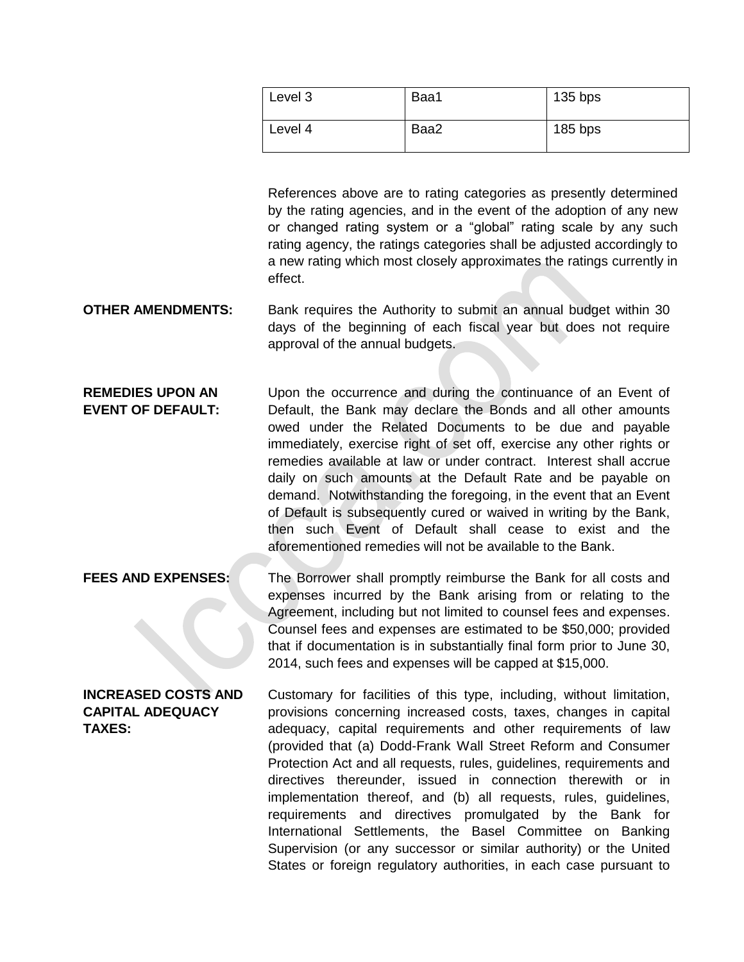| Level 3 | Baa1 | $135$ bps |
|---------|------|-----------|
| Level 4 | Baa2 | $185$ bps |

References above are to rating categories as presently determined by the rating agencies, and in the event of the adoption of any new or changed rating system or a "global" rating scale by any such rating agency, the ratings categories shall be adjusted accordingly to a new rating which most closely approximates the ratings currently in effect.

**OTHER AMENDMENTS:** Bank requires the Authority to submit an annual budget within 30 days of the beginning of each fiscal year but does not require approval of the annual budgets.

**REMEDIES UPON AN EVENT OF DEFAULT:** Upon the occurrence and during the continuance of an Event of Default, the Bank may declare the Bonds and all other amounts owed under the Related Documents to be due and payable immediately, exercise right of set off, exercise any other rights or remedies available at law or under contract. Interest shall accrue daily on such amounts at the Default Rate and be payable on demand. Notwithstanding the foregoing, in the event that an Event of Default is subsequently cured or waived in writing by the Bank, then such Event of Default shall cease to exist and the aforementioned remedies will not be available to the Bank.

**FEES AND EXPENSES:** The Borrower shall promptly reimburse the Bank for all costs and expenses incurred by the Bank arising from or relating to the Agreement, including but not limited to counsel fees and expenses. Counsel fees and expenses are estimated to be \$50,000; provided that if documentation is in substantially final form prior to June 30, 2014, such fees and expenses will be capped at \$15,000.

**INCREASED COSTS AND CAPITAL ADEQUACY TAXES:** Customary for facilities of this type, including, without limitation, provisions concerning increased costs, taxes, changes in capital adequacy, capital requirements and other requirements of law (provided that (a) Dodd-Frank Wall Street Reform and Consumer Protection Act and all requests, rules, guidelines, requirements and directives thereunder, issued in connection therewith or in implementation thereof, and (b) all requests, rules, guidelines, requirements and directives promulgated by the Bank for International Settlements, the Basel Committee on Banking Supervision (or any successor or similar authority) or the United States or foreign regulatory authorities, in each case pursuant to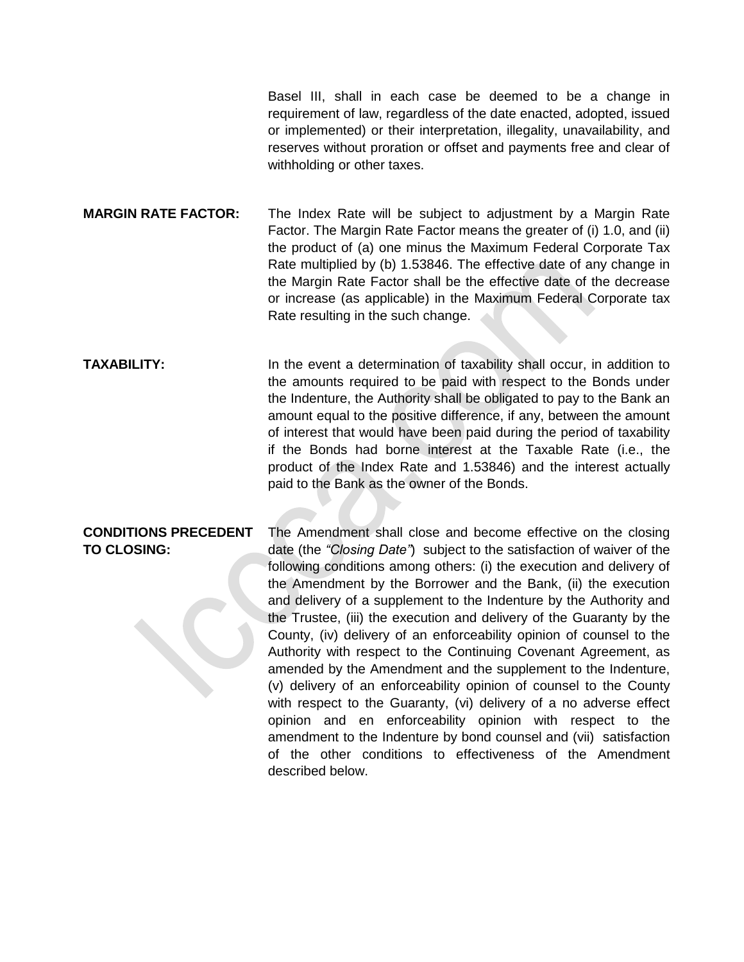Basel III, shall in each case be deemed to be a change in requirement of law, regardless of the date enacted, adopted, issued or implemented) or their interpretation, illegality, unavailability, and reserves without proration or offset and payments free and clear of withholding or other taxes.

**MARGIN RATE FACTOR:** The Index Rate will be subject to adjustment by a Margin Rate Factor. The Margin Rate Factor means the greater of (i) 1.0, and (ii) the product of (a) one minus the Maximum Federal Corporate Tax Rate multiplied by (b) 1.53846. The effective date of any change in the Margin Rate Factor shall be the effective date of the decrease or increase (as applicable) in the Maximum Federal Corporate tax Rate resulting in the such change.

**TAXABILITY:** In the event a determination of taxability shall occur, in addition to the amounts required to be paid with respect to the Bonds under the Indenture, the Authority shall be obligated to pay to the Bank an amount equal to the positive difference, if any, between the amount of interest that would have been paid during the period of taxability if the Bonds had borne interest at the Taxable Rate (i.e., the product of the Index Rate and 1.53846) and the interest actually paid to the Bank as the owner of the Bonds.

### **CONDITIONS PRECEDENT TO CLOSING:** The Amendment shall close and become effective on the closing date (the *"Closing Date"*) subject to the satisfaction of waiver of the following conditions among others: (i) the execution and delivery of the Amendment by the Borrower and the Bank, (ii) the execution and delivery of a supplement to the Indenture by the Authority and the Trustee, (iii) the execution and delivery of the Guaranty by the County, (iv) delivery of an enforceability opinion of counsel to the Authority with respect to the Continuing Covenant Agreement, as amended by the Amendment and the supplement to the Indenture, (v) delivery of an enforceability opinion of counsel to the County with respect to the Guaranty, (vi) delivery of a no adverse effect opinion and en enforceability opinion with respect to the amendment to the Indenture by bond counsel and (vii) satisfaction of the other conditions to effectiveness of the Amendment described below.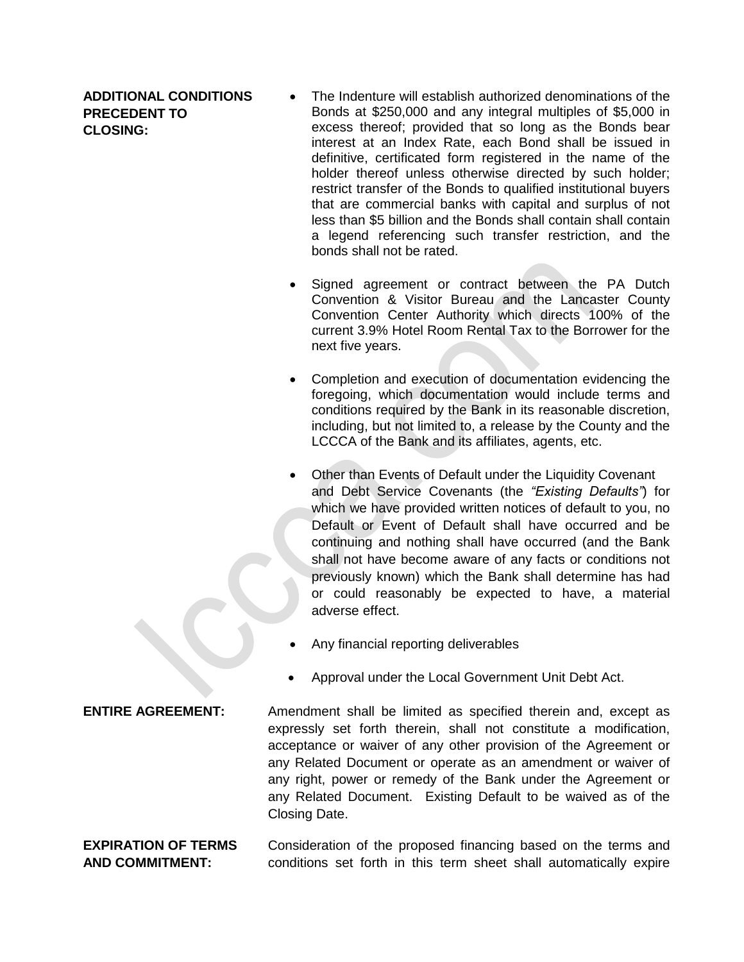**ADDITIONAL CONDITIONS PRECEDENT TO CLOSING:**

- The Indenture will establish authorized denominations of the Bonds at \$250,000 and any integral multiples of \$5,000 in excess thereof; provided that so long as the Bonds bear interest at an Index Rate, each Bond shall be issued in definitive, certificated form registered in the name of the holder thereof unless otherwise directed by such holder; restrict transfer of the Bonds to qualified institutional buyers that are commercial banks with capital and surplus of not less than \$5 billion and the Bonds shall contain shall contain a legend referencing such transfer restriction, and the bonds shall not be rated.
- Signed agreement or contract between the PA Dutch Convention & Visitor Bureau and the Lancaster County Convention Center Authority which directs 100% of the current 3.9% Hotel Room Rental Tax to the Borrower for the next five years.
- Completion and execution of documentation evidencing the foregoing, which documentation would include terms and conditions required by the Bank in its reasonable discretion, including, but not limited to, a release by the County and the LCCCA of the Bank and its affiliates, agents, etc.
- Other than Events of Default under the Liquidity Covenant and Debt Service Covenants (the *"Existing Defaults"*) for which we have provided written notices of default to you, no Default or Event of Default shall have occurred and be continuing and nothing shall have occurred (and the Bank shall not have become aware of any facts or conditions not previously known) which the Bank shall determine has had or could reasonably be expected to have, a material adverse effect.
- Any financial reporting deliverables
- Approval under the Local Government Unit Debt Act.

**ENTIRE AGREEMENT:** Amendment shall be limited as specified therein and, except as expressly set forth therein, shall not constitute a modification, acceptance or waiver of any other provision of the Agreement or any Related Document or operate as an amendment or waiver of any right, power or remedy of the Bank under the Agreement or any Related Document. Existing Default to be waived as of the Closing Date.

# **EXPIRATION OF TERMS AND COMMITMENT:**

Consideration of the proposed financing based on the terms and conditions set forth in this term sheet shall automatically expire